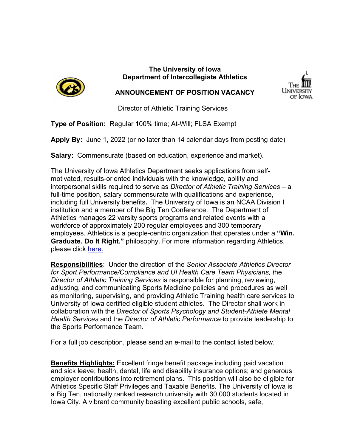

# **The University of Iowa Department of Intercollegiate Athletics**



# **ANNOUNCEMENT OF POSITION VACANCY**

Director of Athletic Training Services

**Type of Position:** Regular 100% time; At-Will; FLSA Exempt

**Apply By:** June 1, 2022 (or no later than 14 calendar days from posting date)

**Salary:** Commensurate (based on education, experience and market).

The University of Iowa Athletics Department seeks applications from selfmotivated, results-oriented individuals with the knowledge, ability and interpersonal skills required to serve as *Director of Athletic Training Services* – a full-time position, salary commensurate with qualifications and experience, including full University benefits**.** The University of Iowa is an NCAA Division I institution and a member of the Big Ten Conference. The Department of Athletics manages 22 varsity sports programs and related events with a workforce of approximately 200 regular employees and 300 temporary employees. Athletics is a people-centric organization that operates under a **"Win. Graduate. Do It Right."** philosophy. For more information regarding Athletics, please click [here.](https://hawkeyesports.com/about-ui-athletics/)

**Responsibilities**: Under the direction of the *Senior Associate Athletics Director for Sport Performance/Compliance and UI Health Care Team Physicians, t*he *Director of Athletic Training Services* is responsible for planning, reviewing, adjusting, and communicating Sports Medicine policies and procedures as well as monitoring, supervising, and providing Athletic Training health care services to University of Iowa certified eligible student athletes. The Director shall work in collaboration with the *Director of Sports Psychology and Student-Athlete Mental Health Services* and the *Director of Athletic Performance* to provide leadership to the Sports Performance Team.

For a full job description, please send an e-mail to the contact listed below.

**Benefits Highlights:** Excellent fringe benefit package including paid vacation and sick leave; health, dental, life and disability insurance options; and generous employer contributions into retirement plans. This position will also be eligible for Athletics Specific Staff Privileges and Taxable Benefits*.* The University of Iowa is a Big Ten, nationally ranked research university with 30,000 students located in Iowa City. A vibrant community boasting excellent public schools, safe,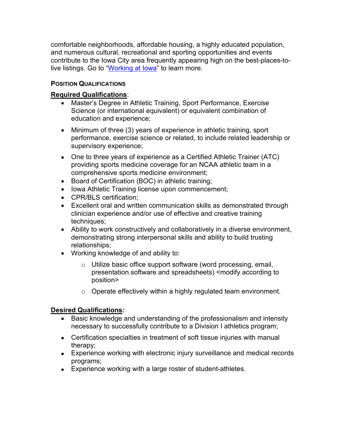comfortable neighborhoods, affordable housing, a highly educated population, and numerous cultural, recreational and sporting opportunities and events contribute to the Iowa City area frequently appearing high on the best-places-tolive listings. Go to "Working at lowa" to learn more.

#### **POSITION QUALIFICATIONS**

## **Required Qualifications**:

- Master's Degree in Athletic Training, Sport Performance, Exercise Science (or international equivalent) or equivalent combination of education and experience;
- Minimum of three (3) years of experience in athletic training, sport performance, exercise science or related, to include related leadership or supervisory experience;
- One to three years of experience as a Certified Athletic Trainer (ATC) providing sports medicine coverage for an NCAA athletic team in a comprehensive sports medicine environment;
- Board of Certification (BOC) in athletic training;
- Iowa Athletic Training license upon commencement;
- CPR/BLS certification:
- Excellent oral and written communication skills as demonstrated through clinician experience and/or use of effective and creative training techniques;
- Ability to work constructively and collaboratively in a diverse environment, demonstrating strong interpersonal skills and ability to build trusting relationships;
- Working knowledge of and ability to:
	- o Utilize basic office support software (word processing, email, presentation software and spreadsheets) <modify according to position>
	- o Operate effectively within a highly regulated team environment.

#### **Desired Qualifications:**

- Basic knowledge and understanding of the professionalism and intensity necessary to successfully contribute to a Division I athletics program;
- Certification specialties in treatment of soft tissue injuries with manual therapy;
- Experience working with electronic injury surveillance and medical records programs;
- Experience working with a large roster of student-athletes.